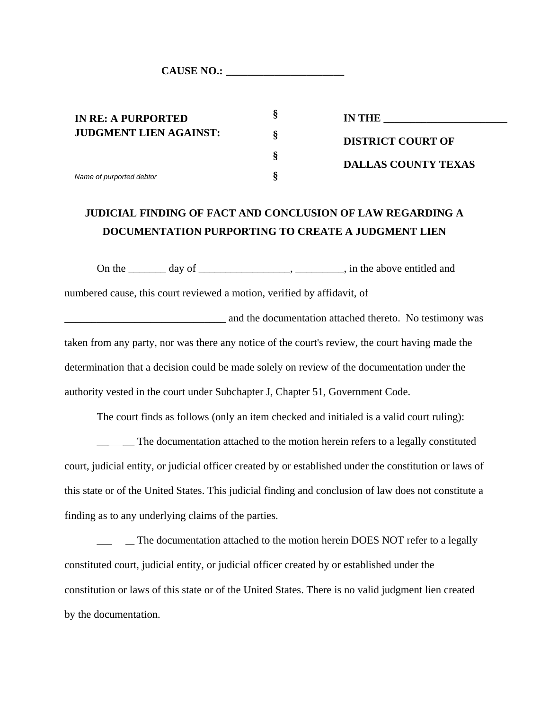**CAUSE NO.: \_\_\_\_\_\_\_\_\_\_\_\_\_\_\_\_\_\_\_\_\_\_**

**IN RE: A PURPORTED JUDGMENT LIEN AGAINST:**

*Name of purported debtor*

**IN THE \_\_\_\_\_\_\_\_\_\_\_\_\_\_\_\_\_\_\_\_\_\_\_ DISTRICT COURT OF DALLAS COUNTY TEXAS**

## **JUDICIAL FINDING OF FACT AND CONCLUSION OF LAW REGARDING A DOCUMENTATION PURPORTING TO CREATE A JUDGMENT LIEN**

**§**

**§**

**§**

**§**

On the \_\_\_\_\_\_\_ day of \_\_\_\_\_\_\_\_\_\_\_\_\_\_\_\_\_\_, \_\_\_\_\_\_\_\_\_, in the above entitled and

numbered cause, this court reviewed a motion, verified by affidavit, of

and the documentation attached thereto. No testimony was taken from any party, nor was there any notice of the court's review, the court having made the determination that a decision could be made solely on review of the documentation under the authority vested in the court under Subchapter J, Chapter 51, Government Code.

The court finds as follows (only an item checked and initialed is a valid court ruling):

\_\_\_\_\_\_\_ The documentation attached to the motion herein refers to a legally constituted court, judicial entity, or judicial officer created by or established under the constitution or laws of this state or of the United States. This judicial finding and conclusion of law does not constitute a finding as to any underlying claims of the parties.

\_\_\_\_\_\_\_ The documentation attached to the motion herein DOES NOT refer to a legally constituted court, judicial entity, or judicial officer created by or established under the constitution or laws of this state or of the United States. There is no valid judgment lien created by the documentation.